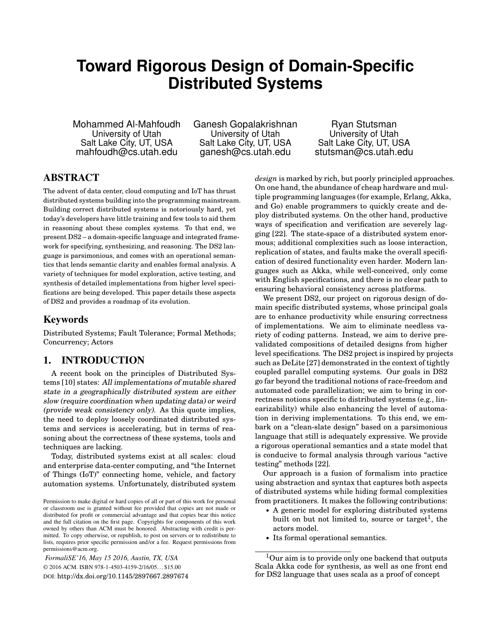# **Toward Rigorous Design of Domain-Specific Distributed Systems**

Mohammed Al-Mahfoudh University of Utah Salt Lake City, UT, USA mahfoudh@cs.utah.edu

Ganesh Gopalakrishnan University of Utah Salt Lake City, UT, USA ganesh@cs.utah.edu

Ryan Stutsman University of Utah Salt Lake City, UT, USA stutsman@cs.utah.edu

# ABSTRACT

The advent of data center, cloud computing and IoT has thrust distributed systems building into the programming mainstream. Building correct distributed systems is notoriously hard, yet today's developers have little training and few tools to aid them in reasoning about these complex systems. To that end, we present DS2 – a domain-specific language and integrated framework for specifying, synthesizing, and reasoning. The DS2 language is parsimonious, and comes with an operational semantics that lends semantic clarity and enables formal analysis. A variety of techniques for model exploration, active testing, and synthesis of detailed implementations from higher level specifications are being developed. This paper details these aspects of DS2 and provides a roadmap of its evolution.

## Keywords

Distributed Systems; Fault Tolerance; Formal Methods; Concurrency; Actors

## 1. INTRODUCTION

A recent book on the principles of Distributed Systems [10] states: All implementations of mutable shared state in a geographically distributed system are either slow (require coordination when updating data) or weird (provide weak consistency only). As this quote implies, the need to deploy loosely coordinated distributed systems and services is accelerating, but in terms of reasoning about the correctness of these systems, tools and techniques are lacking.

Today, distributed systems exist at all scales: cloud and enterprise data-center computing, and "the Internet of Things (IoT)" connecting home, vehicle, and factory automation systems. Unfortunately, distributed system

*FormaliSE'16, May 15 2016, Austin, TX, USA* © 2016 ACM. ISBN 978-1-4503-4159-2/16/05. . . \$15.00 DOI: http://dx.doi.org/10.1145/2897667.2897674 *design* is marked by rich, but poorly principled approaches. On one hand, the abundance of cheap hardware and multiple programming languages (for example, Erlang, Akka, and Go) enable programmers to quickly create and deploy distributed systems. On the other hand, productive ways of specification and verification are severely lagging [22]. The state-space of a distributed system enormous; additional complexities such as loose interaction, replication of states, and faults make the overall specification of desired functionality even harder. Modern languages such as Akka, while well-conceived, only come with English specifications, and there is no clear path to ensuring behavioral consistency across platforms.

We present DS2, our project on rigorous design of domain specific distributed systems, whose principal goals are to enhance productivity while ensuring correctness of implementations. We aim to eliminate needless variety of coding patterns. Instead, we aim to derive prevalidated compositions of detailed designs from higher level specifications. The DS2 project is inspired by projects such as DeLite [27] demonstrated in the context of tightly coupled parallel computing systems. Our goals in DS2 go far beyond the traditional notions of race-freedom and automated code parallelization; we aim to bring in correctness notions specific to distributed systems (e.g., linearizability) while also enhancing the level of automation in deriving implementations. To this end, we embark on a "clean-slate design" based on a parsimonious language that still is adequately expressive. We provide a rigorous operational semantics and a state model that is conducive to formal analysis through various "active testing" methods [22].

Our approach is a fusion of formalism into practice using abstraction and syntax that captures both aspects of distributed systems while hiding formal complexities from practitioners. It makes the following contributions:

- A generic model for exploring distributed systems built on but not limited to, source or target<sup>1</sup>, the actors model.
- Its formal operational semantics.

Permission to make digital or hard copies of all or part of this work for personal or classroom use is granted without fee provided that copies are not made or distributed for profit or commercial advantage and that copies bear this notice and the full citation on the first page. Copyrights for components of this work owned by others than ACM must be honored. Abstracting with credit is permitted. To copy otherwise, or republish, to post on servers or to redistribute to lists, requires prior specific permission and/or a fee. Request permissions from permissions@acm.org.

 $1$ Our aim is to provide only one backend that outputs Scala Akka code for synthesis, as well as one front end for DS2 language that uses scala as a proof of concept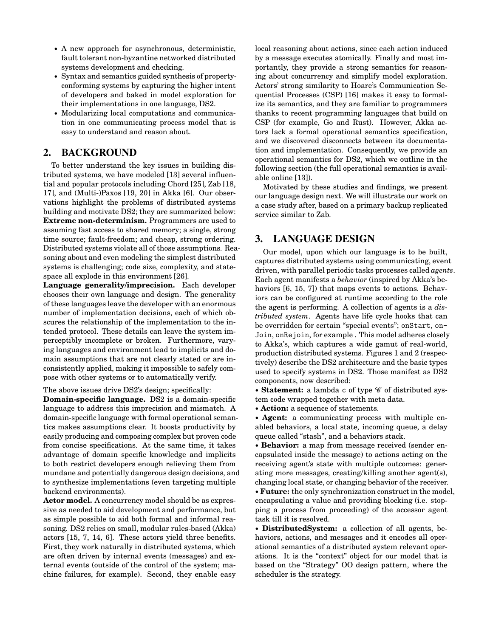- A new approach for asynchronous, deterministic, fault tolerant non-byzantine networked distributed systems development and checking.
- Syntax and semantics guided synthesis of propertyconforming systems by capturing the higher intent of developers and baked in model exploration for their implementations in one language, DS2.
- Modularizing local computations and communication in one communicating process model that is easy to understand and reason about.

## 2. BACKGROUND

To better understand the key issues in building distributed systems, we have modeled [13] several influential and popular protocols including Chord [25], Zab [18, 17], and (Multi-)Paxos [19, 20] in Akka [6]. Our observations highlight the problems of distributed systems building and motivate DS2; they are summarized below: **Extreme non-determinism.** Programmers are used to assuming fast access to shared memory; a single, strong time source; fault-freedom; and cheap, strong ordering. Distributed systems violate all of those assumptions. Reasoning about and even modeling the simplest distributed systems is challenging; code size, complexity, and statespace all explode in this environment [26].

**Language generality/imprecision.** Each developer chooses their own language and design. The generality of these languages leave the developer with an enormous number of implementation decisions, each of which obscures the relationship of the implementation to the intended protocol. These details can leave the system imperceptibly incomplete or broken. Furthermore, varying languages and environment lead to implicits and domain assumptions that are not clearly stated or are inconsistently applied, making it impossible to safely compose with other systems or to automatically verify.

The above issues drive DS2's design; specifically:

**Domain-specific language.** DS2 is a domain-specific language to address this imprecision and mismatch. A domain-specific language with formal operational semantics makes assumptions clear. It boosts productivity by easily producing and composing complex but proven code from concise specifications. At the same time, it takes advantage of domain specific knowledge and implicits to both restrict developers enough relieving them from mundane and potentially dangerous design decisions, and to synthesize implementations (even targeting multiple backend environments).

**Actor model.** A concurrency model should be as expressive as needed to aid development and performance, but as simple possible to aid both formal and informal reasoning. DS2 relies on small, modular rules-based (Akka) actors [15, 7, 14, 6]. These actors yield three benefits. First, they work naturally in distributed systems, which are often driven by internal events (messages) and external events (outside of the control of the system; machine failures, for example). Second, they enable easy

local reasoning about actions, since each action induced by a message executes atomically. Finally and most importantly, they provide a strong semantics for reasoning about concurrency and simplify model exploration. Actors' strong similarity to Hoare's Communication Sequential Processes (CSP) [16] makes it easy to formalize its semantics, and they are familiar to programmers thanks to recent programming languages that build on CSP (for example, Go and Rust). However, Akka actors lack a formal operational semantics specification, and we discovered disconnects between its documentation and implementation. Consequently, we provide an operational semantics for DS2, which we outline in the following section (the full operational semantics is available online [13]).

Motivated by these studies and findings, we present our language design next. We will illustrate our work on a case study after, based on a primary backup replicated service similar to Zab.

## 3. LANGUAGE DESIGN

Our model, upon which our language is to be built, captures distributed systems using communicating, event driven, with parallel periodic tasks processes called *agents*. Each agent manifests a *behavior* (inspired by Akka's behaviors  $[6, 15, 7]$  that maps events to actions. Behaviors can be configured at runtime according to the role the agent is performing. A collection of agents is a *distributed system*. Agents have life cycle hooks that can be overridden for certain "special events"; onStart, on-Join, onRejoin, for example . This model adheres closely to Akka's, which captures a wide gamut of real-world, production distributed systems. Figures 1 and 2 (respectively) describe the DS2 architecture and the basic types used to specify systems in DS2. Those manifest as DS2 components, now described:

• **Statement:** a lambda c of type  $\mathscr C$  of distributed system code wrapped together with meta data.

• **Action:** a sequence of statements.

• **Agent:** a communicating process with multiple enabled behaviors, a local state, incoming queue, a delay queue called "stash", and a behaviors stack.

• **Behavior:** a map from message received (sender encapsulated inside the message) to actions acting on the receiving agent's state with multiple outcomes: generating more messages, creating/killing another agent(s), changing local state, or changing behavior of the receiver.

• **Future:** the only synchronization construct in the model, encapsulating a value and providing blocking (i.e. stopping a process from proceeding) of the accessor agent task till it is resolved.

• **DistributedSystem:** a collection of all agents, behaviors, actions, and messages and it encodes all operational semantics of a distributed system relevant operations. It is the "context" object for our model that is based on the "Strategy" OO design pattern, where the scheduler is the strategy.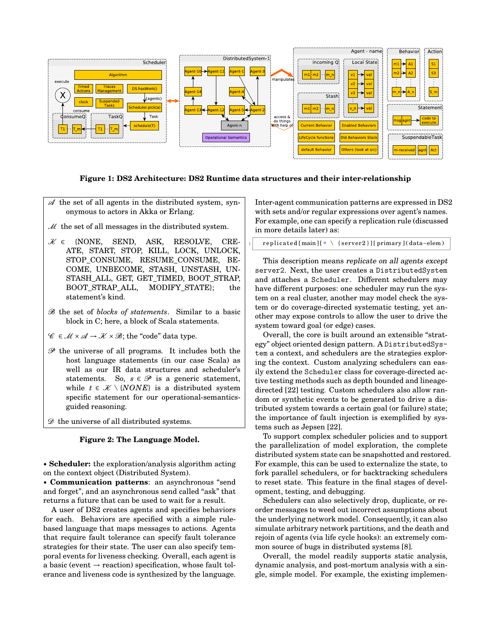

**Figure 1: DS2 Architecture: DS2 Runtime data structures and their inter-relationship**

 $\mathscr A$  the set of all agents in the distributed system, synonymous to actors in Akka or Erlang.

- $M$  the set of all messages in the distributed system.
- $\mathcal{X} \in \{$  NONE, SEND, ASK, RESOLVE, CRE-ATE, START, STOP, KILL, LOCK, UNLOCK, STOP\_CONSUME, RESUME\_CONSUME, BE-COME, UNBECOME, STASH, UNSTASH, UN-STASH\_ALL, GET, GET\_TIMED, BOOT\_STRAP, BOOT\_STRAP\_ALL, MODIFY\_STATE}; the statement's kind.
- B the set of *blocks of statements*. Similar to a basic block in C; here, a block of Scala statements.
- $\mathscr{C} \in \mathscr{M} \times \mathscr{A} \to \mathscr{K} \times \mathscr{B}$ ; the "code" data type.
- $\mathscr P$  the universe of all programs. It includes both the host language statements (in our case Scala) as well as our IR data structures and scheduler's statements. So,  $s \in \mathcal{P}$  is a generic statement, while  $t \in \mathcal{K} \setminus \{NONE\}$  is a distributed system specific statement for our operational-semanticsguided reasoning.
- $\mathcal D$  the universe of all distributed systems.

#### **Figure 2: The Language Model.**

• **Scheduler:** the exploration/analysis algorithm acting on the context object (Distributed System).

• **Communication patterns**: an asynchronous "send and forget", and an asynchronous send called "ask" that returns a future that can be used to wait for a result.

A user of DS2 creates agents and specifies behaviors for each. Behaviors are specified with a simple rulebased language that maps messages to actions. Agents that require fault tolerance can specify fault tolerance strategies for their state. The user can also specify temporal events for liveness checking. Overall, each agent is a basic (event  $\rightarrow$  reaction) specification, whose fault tolerance and liveness code is synthesized by the language.

Inter-agent communication patterns are expressed in DS2 with sets and/or regular expressions over agent's names. For example, one can specify a replication rule (discussed in more details later) as:

replicated [main][\* \{server2}][primary](data-elem)

This description means replicate on all agents except server2. Next, the user creates a DistributedSystem and attaches a Scheduler. Different schedulers may have different purposes: one scheduler may run the system on a real cluster, another may model check the system or do coverage-directed systematic testing, yet another may expose controls to allow the user to drive the system toward goal (or edge) cases.

Overall, the core is built around an extensible "strategy" object oriented design pattern. A DistributedSystem a context, and schedulers are the strategies exploring the context. Custom analyzing schedulers can easily extend the Scheduler class for coverage-directed active testing methods such as depth bounded and lineagedirected [22] testing. Custom schedulers also allow random or synthetic events to be generated to drive a distributed system towards a certain goal (or failure) state; the importance of fault injection is exemplified by systems such as Jepsen [22].

To support complex scheduler policies and to support the parallelization of model exploration, the complete distributed system state can be snapshotted and restored. For example, this can be used to externalize the state, to fork parallel schedulers, or for backtracking schedulers to reset state. This feature in the final stages of development, testing, and debugging.

Schedulers can also selectively drop, duplicate, or reorder messages to weed out incorrect assumptions about the underlying network model. Consequently, it can also simulate arbitrary network partitions, and the death and rejoin of agents (via life cycle hooks): an extremely common source of bugs in distributed systems [8].

Overall, the model readily supports static analysis, dynamic analysis, and post-mortum analysis with a single, simple model. For example, the existing implemen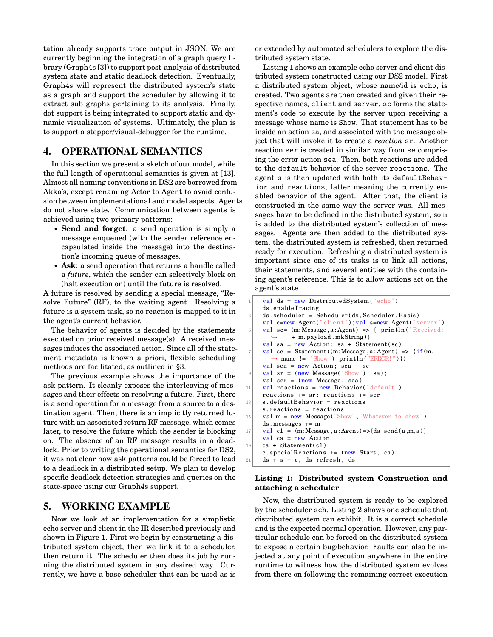tation already supports trace output in JSON. We are currently beginning the integration of a graph query library (Graph4s [3]) to support post-analysis of distributed system state and static deadlock detection. Eventually, Graph4s will represent the distributed system's state as a graph and support the scheduler by allowing it to extract sub graphs pertaining to its analysis. Finally, dot support is being integrated to support static and dynamic visualization of systems. Ultimately, the plan is to support a stepper/visual-debugger for the runtime.

## 4. OPERATIONAL SEMANTICS

In this section we present a sketch of our model, while the full length of operational semantics is given at [13]. Almost all naming conventions in DS2 are borrowed from Akka's, except renaming Actor to Agent to avoid confusion between implementational and model aspects. Agents do not share state. Communication between agents is achieved using two primary patterns:

- **Send and forget**: a send operation is simply a message enqueued (with the sender reference encapsulated inside the message) into the destination's incoming queue of messages.
- **Ask**: a send operation that returns a handle called a *future*, which the sender can selectively block on (halt execution on) until the future is resolved.

A future is resolved by sending a special message, "Resolve Future" (RF), to the waiting agent. Resolving a future is a system task, so no reaction is mapped to it in the agent's current behavior.

The behavior of agents is decided by the statements executed on prior received message(s). A received messages induces the associated action. Since all of the statement metadata is known a priori, flexible scheduling methods are facilitated, as outlined in §3.

The previous example shows the importance of the ask pattern. It cleanly exposes the interleaving of messages and their effects on resolving a future. First, there is a send operation for a message from a source to a destination agent. Then, there is an implicitly returned future with an associated return RF message, which comes later, to resolve the future which the sender is blocking on. The absence of an RF message results in a deadlock. Prior to writing the operational semantics for DS2, it was not clear how ask patterns could be forced to lead to a deadlock in a distributed setup. We plan to develop specific deadlock detection strategies and queries on the state-space using our Graph4s support.

## 5. WORKING EXAMPLE

Now we look at an implementation for a simplistic echo server and client in the IR described previously and shown in Figure 1. First we begin by constructing a distributed system object, then we link it to a scheduler, then return it. The scheduler then does its job by running the distributed system in any desired way. Currently, we have a base scheduler that can be used as-is

or extended by automated schedulers to explore the distributed system state.

Listing 1 shows an example echo server and client distributed system constructed using our DS2 model. First a distributed system object, whose name/id is echo, is created. Two agents are then created and given their respective names, client and server. sc forms the statement's code to execute by the server upon receiving a message whose name is Show. That statement has to be inside an action sa, and associated with the message object that will invoke it to create a *reaction* sr. Another reaction ser is created in similar way from se comprising the error action sea. Then, both reactions are added to the default behavior of the server reactions. The agent s is then updated with both its defaultBehavior and reactions, latter meaning the currently enabled behavior of the agent. After that, the client is constructed in the same way the server was. All messages have to be defined in the distributed system, so m is added to the distributed system's collection of messages. Agents are then added to the distributed system, the distributed system is refreshed, then returned ready for execution. Refreshing a distributed system is important since one of its tasks is to link all actions, their statements, and several entities with the containing agent's reference. This is to allow actions act on the agent's state.

```
val ds = new DistributedSystem ("echo")
    ds.enableTracing
    ds. scheduler = Scheduler (ds, Scheduler. Basic)
     val c=new Agent ("client"); val s=new Agent ("server")
    val sc= (m: Message, a: Agent) => { prinlin("Received:\rightarrow " + m. payload . mkString ) }
    val sa = new Action; sa + Statement (sc)
    val se = Statement ((m: Message, a: Agent) => {if(m.\rightarrow name != "Show") println ("ERROR!") })
     val sea = new Action; sea + se
     val sr = (new Message("Show"), sa);
    val ser = (new Message, sea)11 val reactions = new Behavior ("default")
    reactions += sr; reactions += ser
13 s. defaultBehavior = reactions
     s reactions = reactions
15 val m = new Message("Show", "Whatever to show")ds . messages += m
|17| val c1 = (m: Message, a: Agent) =>{ds. send(a,m, s)}
    val ca = new Action
19 ca + Statement (c1)
    c. specialReactions += (new Start, ca)
21 ds + s + c; ds. refresh; ds
```
### **Listing 1: Distributed system Construction and attaching a scheduler**

Now, the distributed system is ready to be explored by the scheduler sch. Listing 2 shows one schedule that distributed system can exhibit. It is a correct schedule and is the expected normal operation. However, any particular schedule can be forced on the distributed system to expose a certain bug/behavior. Faults can also be injected at any point of execution anywhere in the entire runtime to witness how the distributed system evolves from there on following the remaining correct execution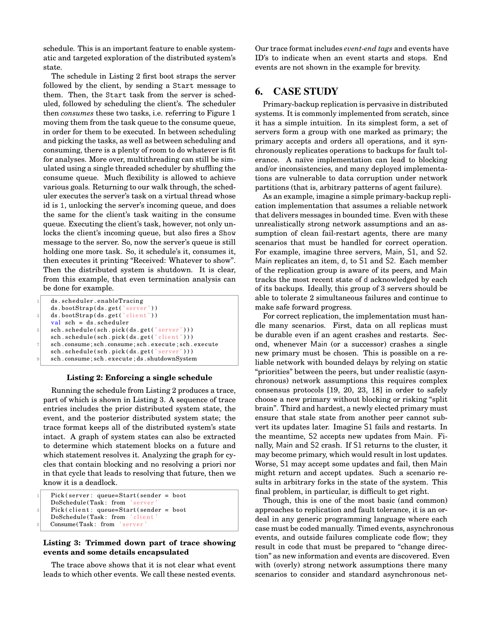schedule. This is an important feature to enable systematic and targeted exploration of the distributed system's state.

The schedule in Listing 2 first boot straps the server followed by the client, by sending a Start message to them. Then, the Start task from the server is scheduled, followed by scheduling the client's. The scheduler then *consumes* these two tasks, i.e. referring to Figure 1 moving them from the task queue to the consume queue, in order for them to be executed. In between scheduling and picking the tasks, as well as between scheduling and consuming, there is a plenty of room to do whatever is fit for analyses. More over, multithreading can still be simulated using a single threaded scheduler by shuffling the consume queue. Much flexibility is allowed to achieve various goals. Returning to our walk through, the scheduler executes the server's task on a virtual thread whose id is 1, unlocking the server's incoming queue, and does the same for the client's task waiting in the consume queue. Executing the client's task, however, not only unlocks the client's incoming queue, but also fires a Show message to the server. So, now the server's queue is still holding one more task. So, it schedule's it, consumes it, then executes it printing "Received: Whatever to show". Then the distributed system is shutdown. It is clear, from this example, that even termination analysis can be done for example.

| $\mathbf{1}$   | ds.scheduler.enableTracing                         |
|----------------|----------------------------------------------------|
|                | $ds.$ boot $Strap(ds.get("server"))$               |
| 3              | $ds.$ bootStrap $(ds. get("client"))$              |
|                | $val$ sch = ds. scheduler                          |
| 5 <sup>1</sup> | $sch. schedule(sch. pick(ds.get("server"))))$      |
|                | $sch. schedule(sch. pick(ds.get("client"))))$      |
| $\tau$         | sch.consume; sch.consume; sch.execute; sch.execute |
|                | $sch. schedule(sch. pick(ds.get("server"))))$      |
| 9              | sch.consume; sch.execute; ds.shutdownSystem        |

#### **Listing 2: Enforcing a single schedule**

Running the schedule from Listing 2 produces a trace, part of which is shown in Listing 3. A sequence of trace entries includes the prior distributed system state, the event, and the posterior distributed system state; the trace format keeps all of the distributed system's state intact. A graph of system states can also be extracted to determine which statement blocks on a future and which statement resolves it. Analyzing the graph for cycles that contain blocking and no resolving a priori nor in that cycle that leads to resolving that future, then we know it is a deadlock.

```
Pick ( server: queue=Start ( sender = boot
DoSchedule (Task: from 'server
Pick ( client: queue=Start(sender = bootDoSchedule (Task: from 'client
Consume (Task: from 'server
```
### **Listing 3: Trimmed down part of trace showing events and some details encapsulated**

The trace above shows that it is not clear what event leads to which other events. We call these nested events.

Our trace format includes *event-end tags* and events have ID's to indicate when an event starts and stops. End events are not shown in the example for brevity.

## 6. CASE STUDY

Primary-backup replication is pervasive in distributed systems. It is commonly implemented from scratch, since it has a simple intuition. In its simplest form, a set of servers form a group with one marked as primary; the primary accepts and orders all operations, and it synchronously replicates operations to backups for fault tolerance. A naïve implementation can lead to blocking and/or inconsistencies, and many deployed implementations are vulnerable to data corruption under network partitions (that is, arbitrary patterns of agent failure).

As an example, imagine a simple primary-backup replication implementation that assumes a reliable network that delivers messages in bounded time. Even with these unrealistically strong network assumptions and an assumption of clean fail-restart agents, there are many scenarios that must be handled for correct operation. For example, imagine three servers, Main, S1, and S2. Main replicates an item, d, to S1 and S2. Each member of the replication group is aware of its peers, and Main tracks the most recent state of d acknowledged by each of its backups. Ideally, this group of 3 servers should be able to tolerate 2 simultaneous failures and continue to make safe forward progress.

For correct replication, the implementation must handle many scenarios. First, data on all replicas must be durable even if an agent crashes and restarts. Second, whenever Main (or a successor) crashes a single new primary must be chosen. This is possible on a reliable network with bounded delays by relying on static "priorities" between the peers, but under realistic (asynchronous) network assumptions this requires complex consensus protocols [19, 20, 23, 18] in order to safely choose a new primary without blocking or risking "split brain". Third and hardest, a newly elected primary must ensure that stale state from another peer cannot subvert its updates later. Imagine S1 fails and restarts. In the meantime, S2 accepts new updates from Main. Finally, Main and S2 crash. If S1 returns to the cluster, it may become primary, which would result in lost updates. Worse, S1 may accept some updates and fail, then Main might return and accept updates. Such a scenario results in arbitrary forks in the state of the system. This final problem, in particular, is difficult to get right.

Though, this is one of the most basic (and common) approaches to replication and fault tolerance, it is an ordeal in any generic programming language where each case must be coded manually. Timed events, asynchronous events, and outside failures complicate code flow; they result in code that must be prepared to "change direction" as new information and events are discovered. Even with (overly) strong network assumptions there many scenarios to consider and standard asynchronous net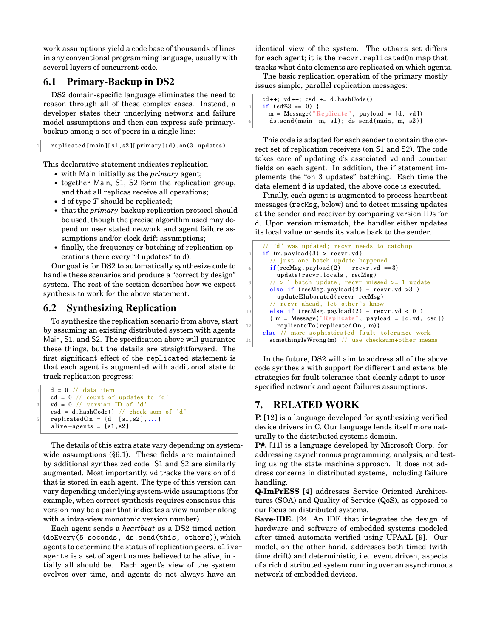work assumptions yield a code base of thousands of lines in any conventional programming language, usually with several layers of concurrent code.

## 6.1 Primary-Backup in DS2

DS2 domain-specific language eliminates the need to reason through all of these complex cases. Instead, a developer states their underlying network and failure model assumptions and then can express safe primarybackup among a set of peers in a single line:

 $replicated [main] [ s1, s2] [ primary] (d) .on (3 updates)$ 

This declarative statement indicates replication

- with Main initially as the *primary* agent;
- together Main, S1, S2 form the replication group, and that all replicas receive all operations;
- d of type *T* should be replicated;
- that the *primary*-backup replication protocol should be used, though the precise algorithm used may depend on user stated network and agent failure assumptions and/or clock drift assumptions;
- finally, the frequency or batching of replication operations (here every "3 updates" to d).

Our goal is for DS2 to automatically synthesize code to handle these scenarios and produce a "correct by design" system. The rest of the section describes how we expect synthesis to work for the above statement.

## 6.2 Synthesizing Replication

To synthesize the replication scenario from above, start by assuming an existing distributed system with agents Main, S1, and S2. The specification above will guarantee these things, but the details are straightforward. The first significant effect of the replicated statement is that each agent is augmented with additional state to track replication progress:

```
d = 0 // data item
    cd = 0 // count of updates to 'd'
|3| vd = 0 // version ID of 'd'
    csd = d.hashCode() // check-sum of 'd'
5 replicatedOn = \{d: [s1, s2], ...\}alive -agents = [s1, s2]
```
The details of this extra state vary depending on systemwide assumptions (§6.1). These fields are maintained by additional synthesized code. S1 and S2 are similarly augmented. Most importantly, vd tracks the version of d that is stored in each agent. The type of this version can vary depending underlying system-wide assumptions (for example, when correct synthesis requires consensus this version may be a pair that indicates a view number along with a intra-view monotonic version number).

Each agent sends a *heartbeat* as a DS2 timed action (doEvery(5 seconds, ds.send(this, others)), which agents to determine the status of replication peers. aliveagents is a set of agent names believed to be alive, initially all should be. Each agent's view of the system evolves over time, and agents do not always have an

identical view of the system. The others set differs for each agent; it is the recvr.replicatedOn map that tracks what data elements are replicated on which agents.

The basic replication operation of the primary mostly issues simple, parallel replication messages:

```
cd++; vd++; csd += d.hashCode()if (cd\%3 == 0) {
 m = Message("Replicate", payload = [d, vd])ds . send (main, m, s1); ds . send (main, m, s2)
```
This code is adapted for each sender to contain the correct set of replication receivers (on S1 and S2). The code takes care of updating d's associated vd and counter fields on each agent. In addition, the if statement implements the "on 3 updates" batching. Each time the data element d is updated, the above code is executed.

Finally, each agent is augmented to process heartbeat messages (recMsg, below) and to detect missing updates at the sender and receiver by comparing version IDs for d. Upon version mismatch, the handler either updates its local value or sends its value back to the sender.

```
'd' was updated; recvr needs to catchup
    if (m. payload(3) > recvr. vd)
      // just one batch update happened
      if ( recMsg. payload (2) – recvr. vd ==3)
        update (recvr.locals, recMsg)
      1 /  > 1 batch update, recvr missed >= 1 update
      else if (recMsg.payload(2) - recvr.vd >3)updateElaborated (recvr, recMsg)
      // recvr ahead, let other's know
|10| else if (recMsg.payload(2) – recvr.vd < 0)
      { m = Message("Replace", payload = [d, vd, csd]) }12 replicateTo (replicatedOn, m) }
    else // more sophisticated fault-tolerance work
14 somethingIsWrong(m) // use checksum+other means
```
In the future, DS2 will aim to address all of the above code synthesis with support for different and extensible strategies for fault tolerance that cleanly adapt to userspecified network and agent failures assumptions.

## 7. RELATED WORK

**P.** [12] is a language developed for synthesizing verified device drivers in C. Our language lends itself more naturally to the distributed systems domain.

**P#.** [11] is a language developed by Microsoft Corp. for addressing asynchronous programming, analysis, and testing using the state machine approach. It does not address concerns in distributed systems, including failure handling.

**Q-ImPrESS** [4] addresses Service Oriented Architectures (SOA) and Quality of Service (QoS), as opposed to our focus on distributed systems.

**Save-IDE.** [24] An IDE that integrates the design of hardware and software of embedded systems modeled after timed automata verified using UPAAL [9]. Our model, on the other hand, addresses both timed (with time drift) and deterministic, i.e. event driven, aspects of a rich distributed system running over an asynchronous network of embedded devices.